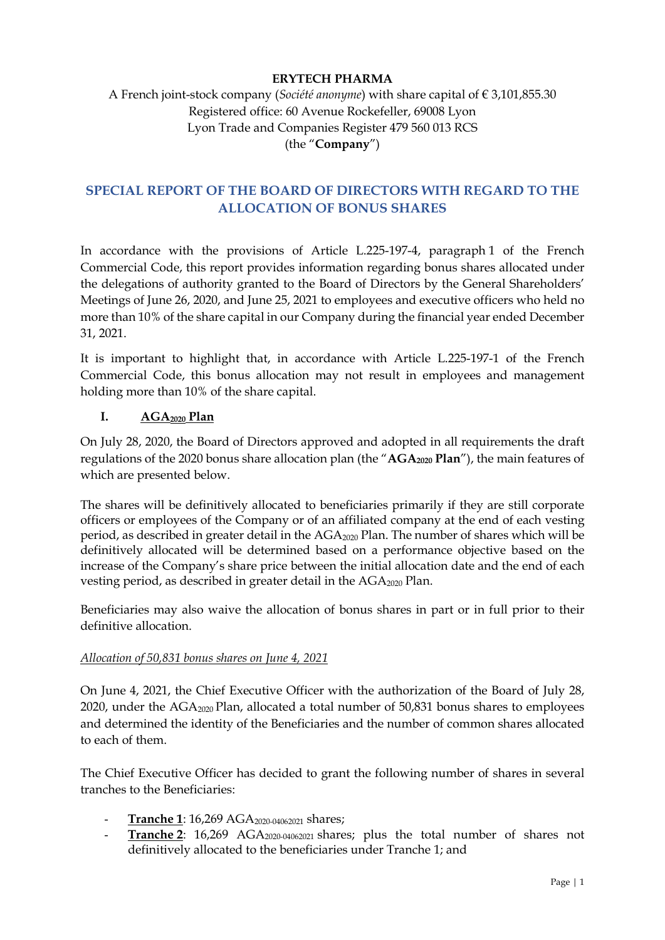# **ERYTECH PHARMA**

# A French joint-stock company (*Société anonyme*) with share capital of € 3,101,855.30 Registered office: 60 Avenue Rockefeller, 69008 Lyon Lyon Trade and Companies Register 479 560 013 RCS (the "**Company**")

# **SPECIAL REPORT OF THE BOARD OF DIRECTORS WITH REGARD TO THE ALLOCATION OF BONUS SHARES**

In accordance with the provisions of Article L.225-197-4, paragraph 1 of the French Commercial Code, this report provides information regarding bonus shares allocated under the delegations of authority granted to the Board of Directors by the General Shareholders' Meetings of June 26, 2020, and June 25, 2021 to employees and executive officers who held no more than 10% of the share capital in our Company during the financial year ended December 31, 2021.

It is important to highlight that, in accordance with Article L.225-197-1 of the French Commercial Code, this bonus allocation may not result in employees and management holding more than 10% of the share capital.

## **I. AGA2020 Plan**

On July 28, 2020, the Board of Directors approved and adopted in all requirements the draft regulations of the 2020 bonus share allocation plan (the "AGA<sub>2020</sub> Plan"), the main features of which are presented below.

The shares will be definitively allocated to beneficiaries primarily if they are still corporate officers or employees of the Company or of an affiliated company at the end of each vesting period, as described in greater detail in the AGA2020 Plan. The number of shares which will be definitively allocated will be determined based on a performance objective based on the increase of the Company's share price between the initial allocation date and the end of each vesting period, as described in greater detail in the  $AGA_{2020}$  Plan.

Beneficiaries may also waive the allocation of bonus shares in part or in full prior to their definitive allocation.

## *Allocation of 50,831 bonus shares on June 4, 2021*

On June 4, 2021, the Chief Executive Officer with the authorization of the Board of July 28, 2020, under the AGA2020 Plan, allocated a total number of 50,831 bonus shares to employees and determined the identity of the Beneficiaries and the number of common shares allocated to each of them.

The Chief Executive Officer has decided to grant the following number of shares in several tranches to the Beneficiaries:

- **Tranche 1**: 16,269 AGA<sub>2020-04062021</sub> shares;
- **Tranche 2**: 16,269 AGA<sub>2020-04062021</sub> shares; plus the total number of shares not definitively allocated to the beneficiaries under Tranche 1; and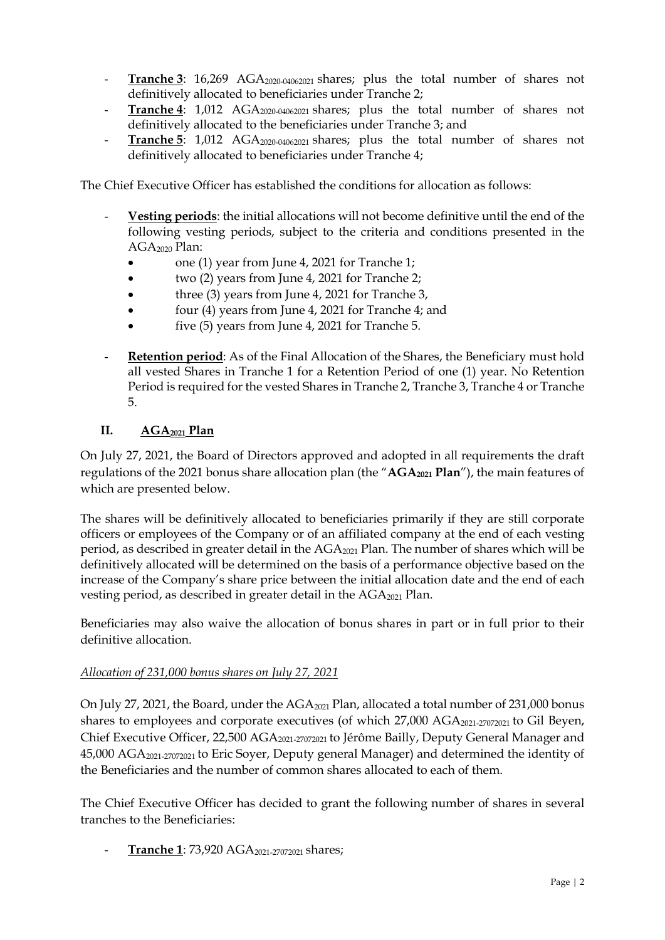- **Tranche 3**: 16,269 AGA<sub>2020-04062021</sub> shares; plus the total number of shares not definitively allocated to beneficiaries under Tranche 2;
- **Tranche 4**: 1,012 AGA<sub>2020-04062021</sub> shares; plus the total number of shares not definitively allocated to the beneficiaries under Tranche 3; and
- **Tranche 5**: 1,012 AGA2020-04062021 shares; plus the total number of shares not definitively allocated to beneficiaries under Tranche 4;

The Chief Executive Officer has established the conditions for allocation as follows:

- **Vesting periods**: the initial allocations will not become definitive until the end of the following vesting periods, subject to the criteria and conditions presented in the AGA2020 Plan:
	- one (1) year from June 4, 2021 for Tranche 1;
	- two (2) years from June 4, 2021 for Tranche 2;
	- three (3) years from June 4, 2021 for Tranche 3,
	- four (4) years from June 4, 2021 for Tranche 4; and
	- five (5) years from June 4, 2021 for Tranche 5.
- **Retention period**: As of the Final Allocation of the Shares, the Beneficiary must hold all vested Shares in Tranche 1 for a Retention Period of one (1) year. No Retention Period is required for the vested Shares in Tranche 2, Tranche 3, Tranche 4 or Tranche 5.

## **II. AGA2021 Plan**

On July 27, 2021, the Board of Directors approved and adopted in all requirements the draft regulations of the 2021 bonus share allocation plan (the "AGA<sub>2021</sub> Plan"), the main features of which are presented below.

The shares will be definitively allocated to beneficiaries primarily if they are still corporate officers or employees of the Company or of an affiliated company at the end of each vesting period, as described in greater detail in the AGA<sub>2021</sub> Plan. The number of shares which will be definitively allocated will be determined on the basis of a performance objective based on the increase of the Company's share price between the initial allocation date and the end of each vesting period, as described in greater detail in the  $AGA_{2021}$  Plan.

Beneficiaries may also waive the allocation of bonus shares in part or in full prior to their definitive allocation.

## *Allocation of 231,000 bonus shares on July 27, 2021*

On July 27, 2021, the Board, under the AGA<sub>2021</sub> Plan, allocated a total number of 231,000 bonus shares to employees and corporate executives (of which 27,000 AGA<sub>2021-27072021</sub> to Gil Beyen, Chief Executive Officer, 22,500 AGA2021-27072021 to Jérôme Bailly, Deputy General Manager and 45,000 AGA2021-27072021 to Eric Soyer, Deputy general Manager) and determined the identity of the Beneficiaries and the number of common shares allocated to each of them.

The Chief Executive Officer has decided to grant the following number of shares in several tranches to the Beneficiaries:

- **Tranche 1**: 73,920 AGA2021-27072021 shares;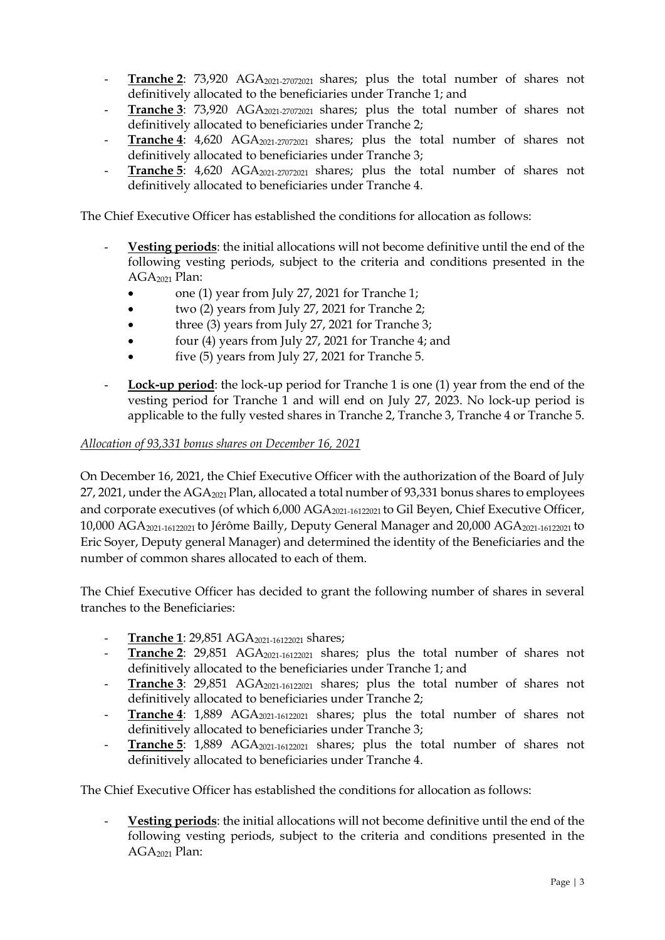- **Tranche 2**: 73,920 AGA<sub>2021-27072021</sub> shares; plus the total number of shares not definitively allocated to the beneficiaries under Tranche 1; and
- **Tranche 3**: 73,920 AGA<sub>2021-27072021</sub> shares; plus the total number of shares not definitively allocated to beneficiaries under Tranche 2;
- **Tranche 4**: 4,620 AGA<sub>2021-27072021</sub> shares; plus the total number of shares not definitively allocated to beneficiaries under Tranche 3;
- **Tranche 5**: 4,620 AGA<sub>2021-27072021</sub> shares; plus the total number of shares not definitively allocated to beneficiaries under Tranche 4.

The Chief Executive Officer has established the conditions for allocation as follows:

- **Vesting periods**: the initial allocations will not become definitive until the end of the following vesting periods, subject to the criteria and conditions presented in the AGA<sub>2021</sub> Plan:
	- one (1) year from July 27, 2021 for Tranche 1;
	- two (2) years from July 27, 2021 for Tranche 2;
	- three (3) years from July 27, 2021 for Tranche 3;
	- four (4) years from July 27, 2021 for Tranche 4; and
	- five (5) years from July 27, 2021 for Tranche 5.
- **Lock-up period**: the lock-up period for Tranche 1 is one (1) year from the end of the vesting period for Tranche 1 and will end on July 27, 2023. No lock-up period is applicable to the fully vested shares in Tranche 2, Tranche 3, Tranche 4 or Tranche 5.

#### *Allocation of 93,331 bonus shares on December 16, 2021*

On December 16, 2021, the Chief Executive Officer with the authorization of the Board of July 27, 2021, under the AGA<sub>2021</sub> Plan, allocated a total number of 93,331 bonus shares to employees and corporate executives (of which 6,000 AGA<sub>2021-16122021</sub> to Gil Beyen, Chief Executive Officer, 10,000 AGA2021-16122021 to Jérôme Bailly, Deputy General Manager and 20,000 AGA2021-16122021 to Eric Soyer, Deputy general Manager) and determined the identity of the Beneficiaries and the number of common shares allocated to each of them.

The Chief Executive Officer has decided to grant the following number of shares in several tranches to the Beneficiaries:

- **Tranche 1**: 29,851 AGA2021-16122021 shares;
- **Tranche 2**: 29,851 AGA<sub>2021-16122021</sub> shares; plus the total number of shares not definitively allocated to the beneficiaries under Tranche 1; and
- **Tranche 3**: 29,851 AGA<sub>2021-16122021</sub> shares; plus the total number of shares not definitively allocated to beneficiaries under Tranche 2;
- **Tranche 4**: 1,889 AGA<sub>2021-16122021</sub> shares; plus the total number of shares not definitively allocated to beneficiaries under Tranche 3;
- **Tranche 5**: 1,889 AGA<sub>2021-16122021</sub> shares; plus the total number of shares not definitively allocated to beneficiaries under Tranche 4.

The Chief Executive Officer has established the conditions for allocation as follows:

- **Vesting periods**: the initial allocations will not become definitive until the end of the following vesting periods, subject to the criteria and conditions presented in the  $AGA<sub>2021</sub>$  Plan: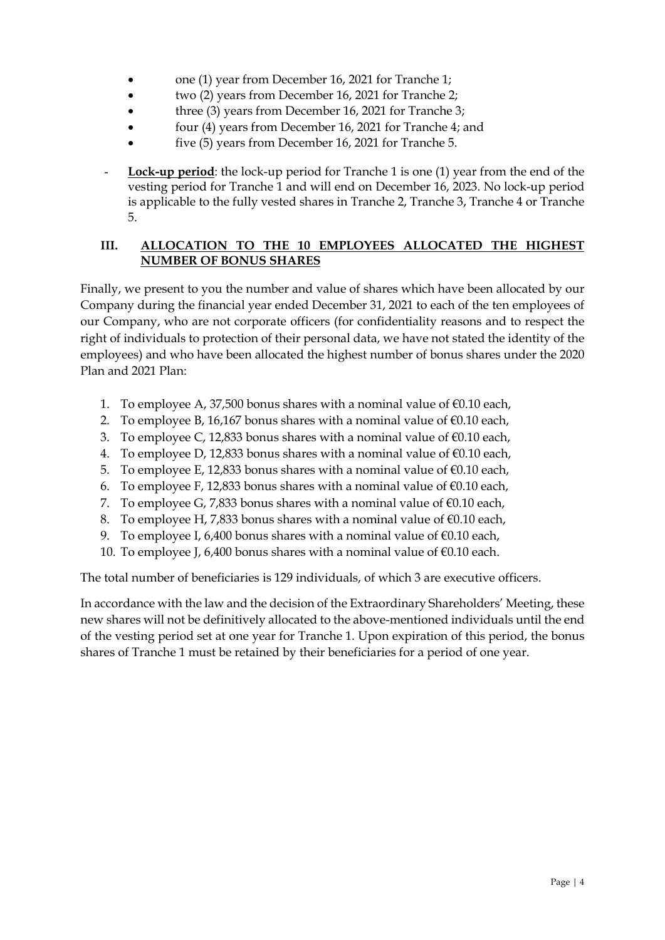- one (1) year from December 16, 2021 for Tranche 1;
- two (2) years from December 16, 2021 for Tranche 2;
- three (3) years from December 16, 2021 for Tranche 3;
- four (4) years from December 16, 2021 for Tranche 4; and
- five (5) years from December 16, 2021 for Tranche 5.
- **Lock-up period**: the lock-up period for Tranche 1 is one (1) year from the end of the vesting period for Tranche 1 and will end on December 16, 2023. No lock-up period is applicable to the fully vested shares in Tranche 2, Tranche 3, Tranche 4 or Tranche 5.

# **III. ALLOCATION TO THE 10 EMPLOYEES ALLOCATED THE HIGHEST NUMBER OF BONUS SHARES**

Finally, we present to you the number and value of shares which have been allocated by our Company during the financial year ended December 31, 2021 to each of the ten employees of our Company, who are not corporate officers (for confidentiality reasons and to respect the right of individuals to protection of their personal data, we have not stated the identity of the employees) and who have been allocated the highest number of bonus shares under the 2020 Plan and 2021 Plan:

- 1. To employee A, 37,500 bonus shares with a nominal value of  $\epsilon$ 0.10 each,
- 2. To employee B, 16,167 bonus shares with a nominal value of  $\epsilon$ 0.10 each,
- 3. To employee C, 12,833 bonus shares with a nominal value of  $\epsilon$ 0.10 each,
- 4. To employee D, 12,833 bonus shares with a nominal value of  $\epsilon$ 0.10 each,
- 5. To employee E, 12,833 bonus shares with a nominal value of  $\epsilon$ 0.10 each,
- 6. To employee F, 12,833 bonus shares with a nominal value of  $\epsilon$ 0.10 each,
- 7. To employee G, 7,833 bonus shares with a nominal value of  $\epsilon$ 0.10 each,
- 8. To employee H, 7,833 bonus shares with a nominal value of  $\epsilon$ 0.10 each,
- 9. To employee I, 6,400 bonus shares with a nominal value of  $\epsilon$ 0.10 each,
- 10. To employee J, 6,400 bonus shares with a nominal value of  $\epsilon$ 0.10 each.

The total number of beneficiaries is 129 individuals, of which 3 are executive officers.

In accordance with the law and the decision of the Extraordinary Shareholders' Meeting, these new shares will not be definitively allocated to the above-mentioned individuals until the end of the vesting period set at one year for Tranche 1. Upon expiration of this period, the bonus shares of Tranche 1 must be retained by their beneficiaries for a period of one year.